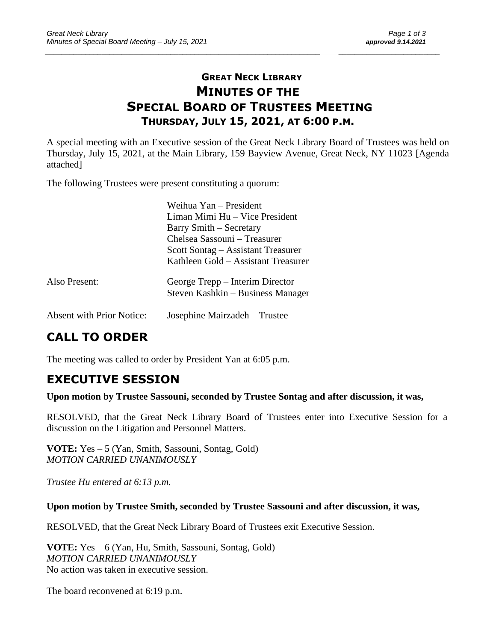### **GREAT NECK LIBRARY MINUTES OF THE SPECIAL BOARD OF TRUSTEES MEETING THURSDAY, JULY 15, 2021, AT 6:00 P.M.**

\_\_\_\_\_\_\_\_\_\_\_\_\_\_\_\_\_\_\_\_\_\_\_\_\_\_\_\_\_\_\_\_\_\_\_\_\_\_\_\_\_\_\_\_\_\_\_\_\_\_\_\_\_\_\_\_\_\_\_\_\_\_\_\_\_\_\_\_ \_\_\_\_\_\_\_\_\_\_\_\_\_\_\_\_\_\_\_\_\_\_\_\_\_

A special meeting with an Executive session of the Great Neck Library Board of Trustees was held on Thursday, July 15, 2021, at the Main Library, 159 Bayview Avenue, Great Neck, NY 11023 [Agenda attached]

The following Trustees were present constituting a quorum:

|                                  | Weihua Yan – President<br>Liman Mimi Hu – Vice President<br>Barry Smith – Secretary<br>Chelsea Sassouni – Treasurer<br>Scott Sontag – Assistant Treasurer<br>Kathleen Gold – Assistant Treasurer |
|----------------------------------|--------------------------------------------------------------------------------------------------------------------------------------------------------------------------------------------------|
| Also Present:                    | George Trepp – Interim Director<br>Steven Kashkin – Business Manager                                                                                                                             |
| <b>Absent with Prior Notice:</b> | Josephine Mairzadeh – Trustee                                                                                                                                                                    |

# **CALL TO ORDER**

The meeting was called to order by President Yan at 6:05 p.m.

## **EXECUTIVE SESSION**

#### **Upon motion by Trustee Sassouni, seconded by Trustee Sontag and after discussion, it was,**

RESOLVED, that the Great Neck Library Board of Trustees enter into Executive Session for a discussion on the Litigation and Personnel Matters.

**VOTE:** Yes – 5 (Yan, Smith, Sassouni, Sontag, Gold) *MOTION CARRIED UNANIMOUSLY*

*Trustee Hu entered at 6:13 p.m.*

#### **Upon motion by Trustee Smith, seconded by Trustee Sassouni and after discussion, it was,**

RESOLVED, that the Great Neck Library Board of Trustees exit Executive Session.

**VOTE:** Yes – 6 (Yan, Hu, Smith, Sassouni, Sontag, Gold) *MOTION CARRIED UNANIMOUSLY* No action was taken in executive session.

The board reconvened at 6:19 p.m.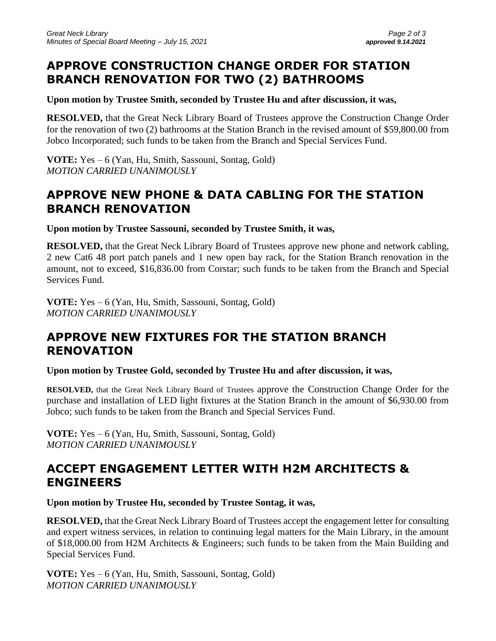## **APPROVE CONSTRUCTION CHANGE ORDER FOR STATION BRANCH RENOVATION FOR TWO (2) BATHROOMS**

**Upon motion by Trustee Smith, seconded by Trustee Hu and after discussion, it was,**

**RESOLVED,** that the Great Neck Library Board of Trustees approve the Construction Change Order for the renovation of two (2) bathrooms at the Station Branch in the revised amount of \$59,800.00 from Jobco Incorporated; such funds to be taken from the Branch and Special Services Fund.

**VOTE:** Yes – 6 (Yan, Hu, Smith, Sassouni, Sontag, Gold) *MOTION CARRIED UNANIMOUSLY*

## **APPROVE NEW PHONE & DATA CABLING FOR THE STATION BRANCH RENOVATION**

**Upon motion by Trustee Sassouni, seconded by Trustee Smith, it was,**

**RESOLVED,** that the Great Neck Library Board of Trustees approve new phone and network cabling, 2 new Cat6 48 port patch panels and 1 new open bay rack, for the Station Branch renovation in the amount, not to exceed, \$16,836.00 from Corstar; such funds to be taken from the Branch and Special Services Fund.

**VOTE:** Yes – 6 (Yan, Hu, Smith, Sassouni, Sontag, Gold) *MOTION CARRIED UNANIMOUSLY*

## **APPROVE NEW FIXTURES FOR THE STATION BRANCH RENOVATION**

**Upon motion by Trustee Gold, seconded by Trustee Hu and after discussion, it was,**

**RESOLVED,** that the Great Neck Library Board of Trustees approve the Construction Change Order for the purchase and installation of LED light fixtures at the Station Branch in the amount of \$6,930.00 from Jobco; such funds to be taken from the Branch and Special Services Fund.

**VOTE:** Yes – 6 (Yan, Hu, Smith, Sassouni, Sontag, Gold) *MOTION CARRIED UNANIMOUSLY*

#### **ACCEPT ENGAGEMENT LETTER WITH H2M ARCHITECTS & ENGINEERS**

**Upon motion by Trustee Hu, seconded by Trustee Sontag, it was,**

**RESOLVED,** that the Great Neck Library Board of Trustees accept the engagement letter for consulting and expert witness services, in relation to continuing legal matters for the Main Library, in the amount of \$18,000.00 from H2M Architects & Engineers; such funds to be taken from the Main Building and Special Services Fund.

**VOTE:** Yes – 6 (Yan, Hu, Smith, Sassouni, Sontag, Gold) *MOTION CARRIED UNANIMOUSLY*